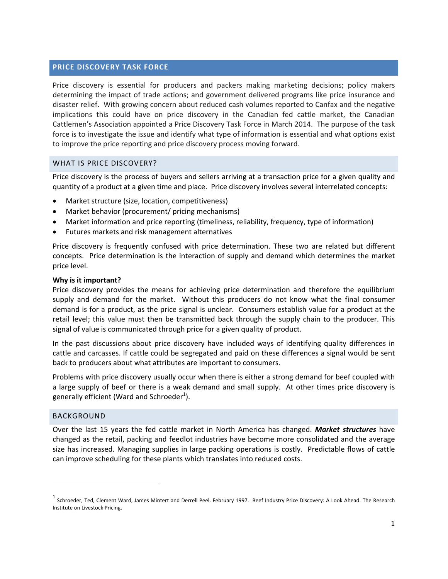# **PRICE DISCOVERY TASK FORCE**

Price discovery is essential for producers and packers making marketing decisions; policy makers determining the impact of trade actions; and government delivered programs like price insurance and disaster relief. With growing concern about reduced cash volumes reported to Canfax and the negative implications this could have on price discovery in the Canadian fed cattle market, the Canadian Cattlemen's Association appointed a Price Discovery Task Force in March 2014. The purpose of the task force is to investigate the issue and identify what type of information is essential and what options exist to improve the price reporting and price discovery process moving forward.

### WHAT IS PRICE DISCOVERY?

Price discovery is the process of buyers and sellers arriving at a transaction price for a given quality and quantity of a product at a given time and place. Price discovery involves several interrelated concepts:

- Market structure (size, location, competitiveness)
- Market behavior (procurement/ pricing mechanisms)
- Market information and price reporting (timeliness, reliability, frequency, type of information)
- Futures markets and risk management alternatives

Price discovery is frequently confused with price determination. These two are related but different concepts. Price determination is the interaction of supply and demand which determines the market price level.

#### **Why is it important?**

Price discovery provides the means for achieving price determination and therefore the equilibrium supply and demand for the market. Without this producers do not know what the final consumer demand is for a product, as the price signal is unclear. Consumers establish value for a product at the retail level; this value must then be transmitted back through the supply chain to the producer. This signal of value is communicated through price for a given quality of product.

In the past discussions about price discovery have included ways of identifying quality differences in cattle and carcasses. If cattle could be segregated and paid on these differences a signal would be sent back to producers about what attributes are important to consumers.

Problems with price discovery usually occur when there is either a strong demand for beef coupled with a large supply of beef or there is a weak demand and small supply. At other times price discovery is generally efficient (Ward and Schroeder<sup>1</sup>).

#### BACKGROUND

<u> 1989 - Jan Samuel Barbara, político establecido de la provincia de la provincia de la provincia de la provinci</u>

Over the last 15 years the fed cattle market in North America has changed. *Market structures* have changed as the retail, packing and feedlot industries have become more consolidated and the average size has increased. Managing supplies in large packing operations is costly. Predictable flows of cattle can improve scheduling for these plants which translates into reduced costs.

 $^1$  Schroeder, Ted, Clement Ward, James Mintert and Derrell Peel. February 1997. Beef Industry Price Discovery: A Look Ahead. The Research Institute on Livestock Pricing.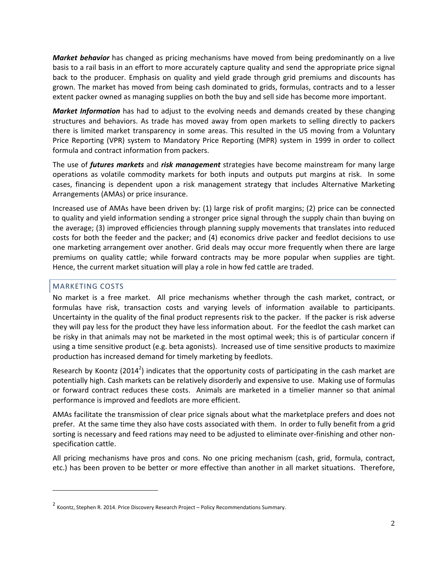*Market behavior* has changed as pricing mechanisms have moved from being predominantly on a live basis to a rail basis in an effort to more accurately capture quality and send the appropriate price signal back to the producer. Emphasis on quality and yield grade through grid premiums and discounts has grown. The market has moved from being cash dominated to grids, formulas, contracts and to a lesser extent packer owned as managing supplies on both the buy and sell side has become more important.

*Market Information* has had to adjust to the evolving needs and demands created by these changing structures and behaviors. As trade has moved away from open markets to selling directly to packers there is limited market transparency in some areas. This resulted in the US moving from a Voluntary Price Reporting (VPR) system to Mandatory Price Reporting (MPR) system in 1999 in order to collect formula and contract information from packers.

The use of *futures markets* and *risk management* strategies have become mainstream for many large operations as volatile commodity markets for both inputs and outputs put margins at risk. In some cases, financing is dependent upon a risk management strategy that includes Alternative Marketing Arrangements (AMAs) or price insurance.

Increased use of AMAs have been driven by: (1) large risk of profit margins; (2) price can be connected to quality and yield information sending a stronger price signal through the supply chain than buying on the average; (3) improved efficiencies through planning supply movements that translates into reduced costs for both the feeder and the packer; and (4) economics drive packer and feedlot decisions to use one marketing arrangement over another. Grid deals may occur more frequently when there are large premiums on quality cattle; while forward contracts may be more popular when supplies are tight. Hence, the current market situation will play a role in how fed cattle are traded.

# MARKETING COSTS

<u> 1989 - Jan Samuel Barbara, político establecido de la provincia de la provincia de la provincia de la provinci</u>

No market is a free market. All price mechanisms whether through the cash market, contract, or formulas have risk, transaction costs and varying levels of information available to participants. Uncertainty in the quality of the final product represents risk to the packer. If the packer is risk adverse they will pay less for the product they have less information about. For the feedlot the cash market can be risky in that animals may not be marketed in the most optimal week; this is of particular concern if using a time sensitive product (e.g. beta agonists). Increased use of time sensitive products to maximize production has increased demand for timely marketing by feedlots.

Research by Koontz (2014<sup>2</sup>) indicates that the opportunity costs of participating in the cash market are potentially high. Cash markets can be relatively disorderly and expensive to use. Making use of formulas or forward contract reduces these costs. Animals are marketed in a timelier manner so that animal performance is improved and feedlots are more efficient.

AMAs facilitate the transmission of clear price signals about what the marketplace prefers and does not prefer. At the same time they also have costs associated with them. In order to fully benefit from a grid sorting is necessary and feed rations may need to be adjusted to eliminate over-finishing and other nonspecification cattle.

All pricing mechanisms have pros and cons. No one pricing mechanism (cash, grid, formula, contract, etc.) has been proven to be better or more effective than another in all market situations. Therefore,

<sup>&</sup>lt;sup>2</sup> Koontz, Stephen R. 2014. Price Discovery Research Project – Policy Recommendations Summary.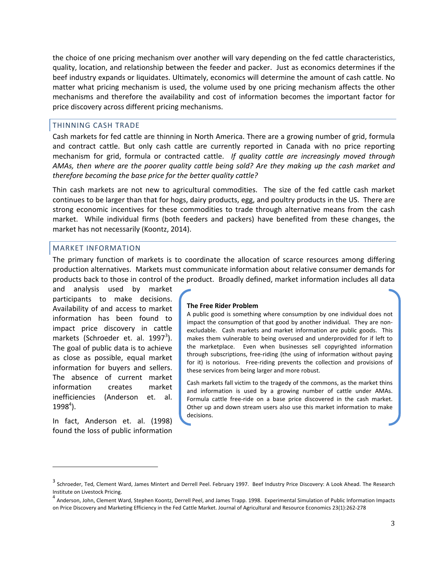the choice of one pricing mechanism over another will vary depending on the fed cattle characteristics, quality, location, and relationship between the feeder and packer. Just as economics determines if the beef industry expands or liquidates. Ultimately, economics will determine the amount of cash cattle. No matter what pricing mechanism is used, the volume used by one pricing mechanism affects the other mechanisms and therefore the availability and cost of information becomes the important factor for price discovery across different pricing mechanisms.

#### THINNING CASH TRADE

Cash markets for fed cattle are thinning in North America. There are a growing number of grid, formula and contract cattle. But only cash cattle are currently reported in Canada with no price reporting mechanism for grid, formula or contracted cattle. *If quality cattle are increasingly moved through AMAs, then where are the poorer quality cattle being sold? Are they making up the cash market and therefore becoming the base price for the better quality cattle?* 

Thin cash markets are not new to agricultural commodities. The size of the fed cattle cash market continues to be larger than that for hogs, dairy products, egg, and poultry products in the US. There are strong economic incentives for these commodities to trade through alternative means from the cash market. While individual firms (both feeders and packers) have benefited from these changes, the market has not necessarily (Koontz, 2014).

#### MARKET INFORMATION

The primary function of markets is to coordinate the allocation of scarce resources among differing production alternatives. Markets must communicate information about relative consumer demands for products back to those in control of the product. Broadly defined, market information includes all data

and analysis used by market participants to make decisions. Availability of and access to market information has been found to impact price discovery in cattle markets (Schroeder et. al. 1997<sup>3</sup>). The goal of public data is to achieve as close as possible, equal market information for buyers and sellers. The absence of current market information creates market inefficiencies (Anderson et. al.  $1998<sup>4</sup>$ ).

In fact, Anderson et. al. (1998) found the loss of public information

 

#### **The Free Rider Problem**

A public good is something where consumption by one individual does not impact the consumption of that good by another individual. They are nonexcludable. Cash markets and market information are public goods. This makes them vulnerable to being overused and underprovided for if left to the marketplace. Even when businesses sell copyrighted information through subscriptions, free‐riding (the using of information without paying for it) is notorious. Free-riding prevents the collection and provisions of these services from being larger and more robust.

Cash markets fall victim to the tragedy of the commons, as the market thins and information is used by a growing number of cattle under AMAs. Formula cattle free-ride on a base price discovered in the cash market. Other up and down stream users also use this market information to make decisions.

 $^3$  Schroeder, Ted, Clement Ward, James Mintert and Derrell Peel. February 1997. Beef Industry Price Discovery: A Look Ahead. The Research

Institute on Livestock Pricing.<br><sup>4</sup> Anderson, John, Clement Ward, Stephen Koontz, Derrell Peel, and James Trapp. 1998. Experimental Simulation of Public Information Impacts on Price Discovery and Marketing Efficiency in the Fed Cattle Market. Journal of Agricultural and Resource Economics 23(1):262‐278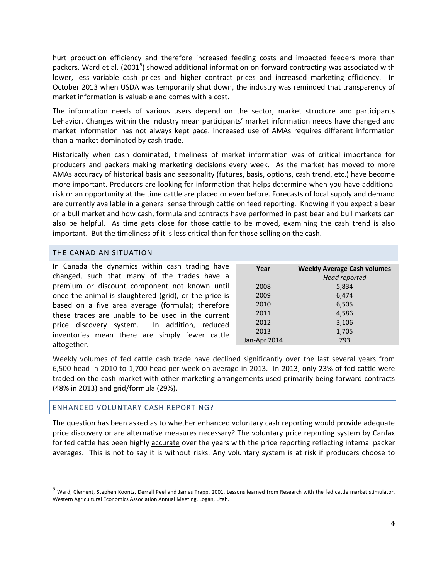hurt production efficiency and therefore increased feeding costs and impacted feeders more than packers. Ward et al. (2001<sup>5</sup>) showed additional information on forward contracting was associated with lower, less variable cash prices and higher contract prices and increased marketing efficiency. In October 2013 when USDA was temporarily shut down, the industry was reminded that transparency of market information is valuable and comes with a cost.

The information needs of various users depend on the sector, market structure and participants behavior. Changes within the industry mean participants' market information needs have changed and market information has not always kept pace. Increased use of AMAs requires different information than a market dominated by cash trade.

Historically when cash dominated, timeliness of market information was of critical importance for producers and packers making marketing decisions every week. As the market has moved to more AMAs accuracy of historical basis and seasonality (futures, basis, options, cash trend, etc.) have become more important. Producers are looking for information that helps determine when you have additional risk or an opportunity at the time cattle are placed or even before. Forecasts of local supply and demand are currently available in a general sense through cattle on feed reporting. Knowing if you expect a bear or a bull market and how cash, formula and contracts have performed in past bear and bull markets can also be helpful. As time gets close for those cattle to be moved, examining the cash trend is also important. But the timeliness of it is less critical than for those selling on the cash.

#### THE CANADIAN SITUATION

| In Canada the dynamics within cash trading have<br>changed, such that many of the trades have a | Year         | <b>Weekly Average Cash volumes</b><br>Head reported |
|-------------------------------------------------------------------------------------------------|--------------|-----------------------------------------------------|
| premium or discount component not known until                                                   | 2008         | 5,834                                               |
| once the animal is slaughtered (grid), or the price is                                          | 2009         | 6,474                                               |
| based on a five area average (formula); therefore                                               | 2010         | 6,505                                               |
| these trades are unable to be used in the current                                               | 2011         | 4,586                                               |
| price discovery system. In addition, reduced                                                    | 2012         | 3,106                                               |
|                                                                                                 | 2013         | 1,705                                               |
|                                                                                                 | Jan-Apr 2014 | 793                                                 |
| inventories mean there are simply fewer cattle<br>altogether.                                   |              |                                                     |

Weekly volumes of fed cattle cash trade have declined significantly over the last several years from 6,500 head in 2010 to 1,700 head per week on average in 2013. In 2013, only 23% of fed cattle were traded on the cash market with other marketing arrangements used primarily being forward contracts (48% in 2013) and grid/formula (29%).

### ENHANCED VOLUNTARY CASH REPORTING?

 

The question has been asked as to whether enhanced voluntary cash reporting would provide adequate price discovery or are alternative measures necessary? The voluntary price reporting system by Canfax for fed cattle has been highly accurate over the years with the price reporting reflecting internal packer averages. This is not to say it is without risks. Any voluntary system is at risk if producers choose to

 $<sup>5</sup>$  Ward, Clement, Stephen Koontz, Derrell Peel and James Trapp. 2001. Lessons learned from Research with the fed cattle market stimulator.</sup> Western Agricultural Economics Association Annual Meeting. Logan, Utah.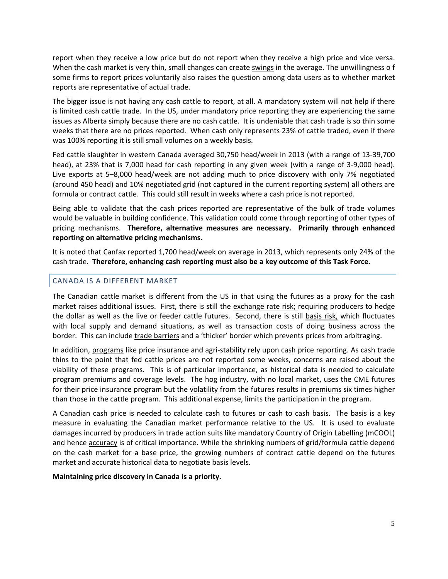report when they receive a low price but do not report when they receive a high price and vice versa. When the cash market is very thin, small changes can create swings in the average. The unwillingness o f some firms to report prices voluntarily also raises the question among data users as to whether market reports are representative of actual trade.

The bigger issue is not having any cash cattle to report, at all. A mandatory system will not help if there is limited cash cattle trade. In the US, under mandatory price reporting they are experiencing the same issues as Alberta simply because there are no cash cattle. It is undeniable that cash trade is so thin some weeks that there are no prices reported. When cash only represents 23% of cattle traded, even if there was 100% reporting it is still small volumes on a weekly basis.

Fed cattle slaughter in western Canada averaged 30,750 head/week in 2013 (with a range of 13‐39,700 head), at 23% that is 7,000 head for cash reporting in any given week (with a range of 3‐9,000 head). Live exports at 5–8,000 head/week are not adding much to price discovery with only 7% negotiated (around 450 head) and 10% negotiated grid (not captured in the current reporting system) all others are formula or contract cattle. This could still result in weeks where a cash price is not reported.

Being able to validate that the cash prices reported are representative of the bulk of trade volumes would be valuable in building confidence. This validation could come through reporting of other types of pricing mechanisms. **Therefore, alternative measures are necessary. Primarily through enhanced reporting on alternative pricing mechanisms.**

It is noted that Canfax reported 1,700 head/week on average in 2013, which represents only 24% of the cash trade. **Therefore, enhancing cash reporting must also be a key outcome of this Task Force.**

# CANADA IS A DIFFERENT MARKET

The Canadian cattle market is different from the US in that using the futures as a proxy for the cash market raises additional issues. First, there is still the exchange rate risk; requiring producers to hedge the dollar as well as the live or feeder cattle futures. Second, there is still basis risk, which fluctuates with local supply and demand situations, as well as transaction costs of doing business across the border. This can include trade barriers and a 'thicker' border which prevents prices from arbitraging.

In addition, programs like price insurance and agri‐stability rely upon cash price reporting. As cash trade thins to the point that fed cattle prices are not reported some weeks, concerns are raised about the viability of these programs. This is of particular importance, as historical data is needed to calculate program premiums and coverage levels. The hog industry, with no local market, uses the CME futures for their price insurance program but the volatility from the futures results in premiums six times higher than those in the cattle program. This additional expense, limits the participation in the program.

A Canadian cash price is needed to calculate cash to futures or cash to cash basis. The basis is a key measure in evaluating the Canadian market performance relative to the US. It is used to evaluate damages incurred by producers in trade action suits like mandatory Country of Origin Labelling (mCOOL) and hence accuracy is of critical importance. While the shrinking numbers of grid/formula cattle depend on the cash market for a base price, the growing numbers of contract cattle depend on the futures market and accurate historical data to negotiate basis levels.

### **Maintaining price discovery in Canada is a priority.**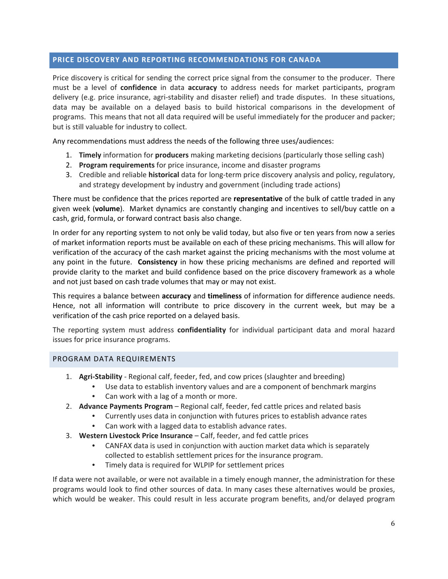# **PRICE DISCOVERY AND REPORTING RECOMMENDATIONS FOR CANADA**

Price discovery is critical for sending the correct price signal from the consumer to the producer. There must be a level of **confidence** in data **accuracy** to address needs for market participants, program delivery (e.g. price insurance, agri‐stability and disaster relief) and trade disputes. In these situations, data may be available on a delayed basis to build historical comparisons in the development of programs. This means that not all data required will be useful immediately for the producer and packer; but is still valuable for industry to collect.

Any recommendations must address the needs of the following three uses/audiences:

- 1. **Timely** information for **producers** making marketing decisions (particularly those selling cash)
- 2. **Program requirements** for price insurance, income and disaster programs
- 3. Credible and reliable **historical** data for long‐term price discovery analysis and policy, regulatory, and strategy development by industry and government (including trade actions)

There must be confidence that the prices reported are **representative** of the bulk of cattle traded in any given week (**volume**). Market dynamics are constantly changing and incentives to sell/buy cattle on a cash, grid, formula, or forward contract basis also change.

In order for any reporting system to not only be valid today, but also five or ten years from now a series of market information reports must be available on each of these pricing mechanisms. This will allow for verification of the accuracy of the cash market against the pricing mechanisms with the most volume at any point in the future. **Consistency** in how these pricing mechanisms are defined and reported will provide clarity to the market and build confidence based on the price discovery framework as a whole and not just based on cash trade volumes that may or may not exist.

This requires a balance between **accuracy** and **timeliness** of information for difference audience needs. Hence, not all information will contribute to price discovery in the current week, but may be a verification of the cash price reported on a delayed basis.

The reporting system must address **confidentiality** for individual participant data and moral hazard issues for price insurance programs.

#### PROGRAM DATA REQUIREMENTS

- 1. **Agri‐Stability** ‐ Regional calf, feeder, fed, and cow prices (slaughter and breeding)
	- Use data to establish inventory values and are a component of benchmark margins
	- Can work with a lag of a month or more.
- 2. **Advance Payments Program** Regional calf, feeder, fed cattle prices and related basis
	- Currently uses data in conjunction with futures prices to establish advance rates
	- Can work with a lagged data to establish advance rates.
- 3. **Western Livestock Price Insurance** Calf, feeder, and fed cattle prices
	- CANFAX data is used in conjunction with auction market data which is separately collected to establish settlement prices for the insurance program.
	- Timely data is required for WLPIP for settlement prices

If data were not available, or were not available in a timely enough manner, the administration for these programs would look to find other sources of data. In many cases these alternatives would be proxies, which would be weaker. This could result in less accurate program benefits, and/or delayed program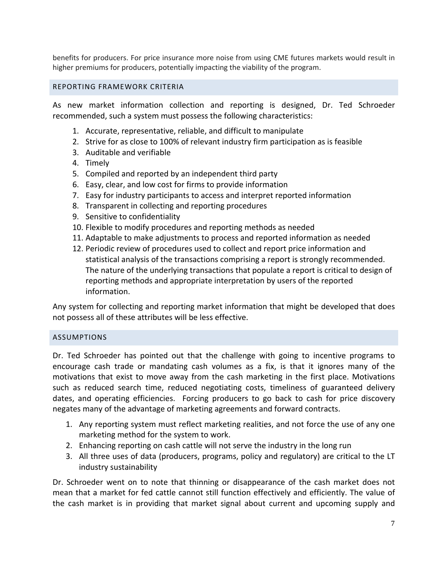benefits for producers. For price insurance more noise from using CME futures markets would result in higher premiums for producers, potentially impacting the viability of the program.

# REPORTING FRAMEWORK CRITERIA

As new market information collection and reporting is designed, Dr. Ted Schroeder recommended, such a system must possess the following characteristics:

- 1. Accurate, representative, reliable, and difficult to manipulate
- 2. Strive for as close to 100% of relevant industry firm participation as is feasible
- 3. Auditable and verifiable
- 4. Timely
- 5. Compiled and reported by an independent third party
- 6. Easy, clear, and low cost for firms to provide information
- 7. Easy for industry participants to access and interpret reported information
- 8. Transparent in collecting and reporting procedures
- 9. Sensitive to confidentiality
- 10. Flexible to modify procedures and reporting methods as needed
- 11. Adaptable to make adjustments to process and reported information as needed
- 12. Periodic review of procedures used to collect and report price information and statistical analysis of the transactions comprising a report is strongly recommended. The nature of the underlying transactions that populate a report is critical to design of reporting methods and appropriate interpretation by users of the reported information.

Any system for collecting and reporting market information that might be developed that does not possess all of these attributes will be less effective.

# ASSUMPTIONS

Dr. Ted Schroeder has pointed out that the challenge with going to incentive programs to encourage cash trade or mandating cash volumes as a fix, is that it ignores many of the motivations that exist to move away from the cash marketing in the first place. Motivations such as reduced search time, reduced negotiating costs, timeliness of guaranteed delivery dates, and operating efficiencies. Forcing producers to go back to cash for price discovery negates many of the advantage of marketing agreements and forward contracts.

- 1. Any reporting system must reflect marketing realities, and not force the use of any one marketing method for the system to work.
- 2. Enhancing reporting on cash cattle will not serve the industry in the long run
- 3. All three uses of data (producers, programs, policy and regulatory) are critical to the LT industry sustainability

Dr. Schroeder went on to note that thinning or disappearance of the cash market does not mean that a market for fed cattle cannot still function effectively and efficiently. The value of the cash market is in providing that market signal about current and upcoming supply and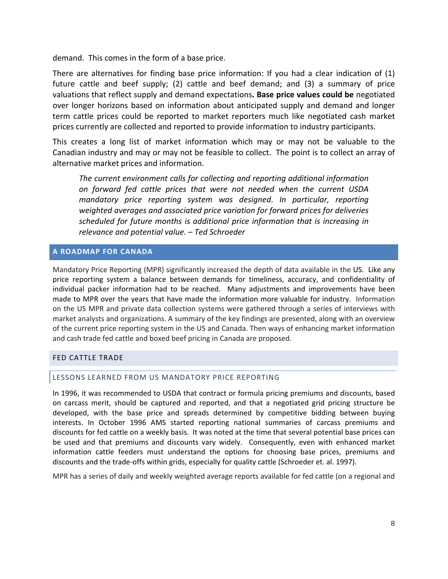demand. This comes in the form of a base price.

There are alternatives for finding base price information: If you had a clear indication of (1) future cattle and beef supply; (2) cattle and beef demand; and (3) a summary of price valuations that reflect supply and demand expectations**. Base price values could be** negotiated over longer horizons based on information about anticipated supply and demand and longer term cattle prices could be reported to market reporters much like negotiated cash market prices currently are collected and reported to provide information to industry participants.

This creates a long list of market information which may or may not be valuable to the Canadian industry and may or may not be feasible to collect. The point is to collect an array of alternative market prices and information.

*The current environment calls for collecting and reporting additional information on forward fed cattle prices that were not needed when the current USDA mandatory price reporting system was designed*. *In particular, reporting weighted averages and associated price variation for forward prices for deliveries scheduled for future months is additional price information that is increasing in relevance and potential value.* – *Ted Schroeder*

# **A ROADMAP FOR CANADA**

Mandatory Price Reporting (MPR) significantly increased the depth of data available in the US. Like any price reporting system a balance between demands for timeliness, accuracy, and confidentiality of individual packer information had to be reached. Many adjustments and improvements have been made to MPR over the years that have made the information more valuable for industry. Information on the US MPR and private data collection systems were gathered through a series of interviews with market analysts and organizations. A summary of the key findings are presented, along with an overview of the current price reporting system in the US and Canada. Then ways of enhancing market information and cash trade fed cattle and boxed beef pricing in Canada are proposed.

# FED CATTLE TRADE

### LESSONS LEARNED FROM US MANDATORY PRICE REPORTING

In 1996, it was recommended to USDA that contract or formula pricing premiums and discounts, based on carcass merit, should be captured and reported, and that a negotiated grid pricing structure be developed, with the base price and spreads determined by competitive bidding between buying interests. In October 1996 AMS started reporting national summaries of carcass premiums and discounts for fed cattle on a weekly basis. It was noted at the time that several potential base prices can be used and that premiums and discounts vary widely. Consequently, even with enhanced market information cattle feeders must understand the options for choosing base prices, premiums and discounts and the trade‐offs within grids, especially for quality cattle (Schroeder et. al. 1997).

MPR has a series of daily and weekly weighted average reports available for fed cattle (on a regional and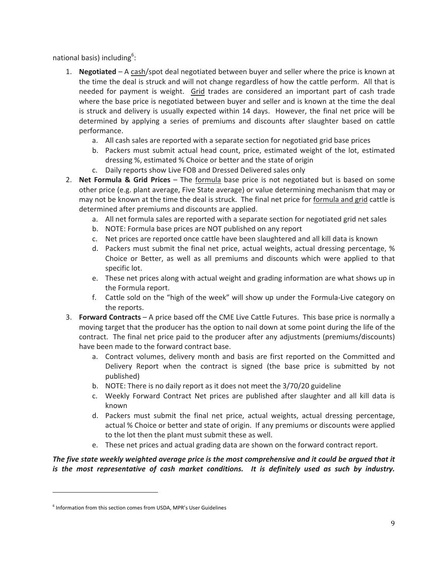national basis) including $6$ :

- 1. **Negotiated** A cash/spot deal negotiated between buyer and seller where the price is known at the time the deal is struck and will not change regardless of how the cattle perform. All that is needed for payment is weight. Grid trades are considered an important part of cash trade where the base price is negotiated between buyer and seller and is known at the time the deal is struck and delivery is usually expected within 14 days. However, the final net price will be determined by applying a series of premiums and discounts after slaughter based on cattle performance.
	- a. All cash sales are reported with a separate section for negotiated grid base prices
	- b. Packers must submit actual head count, price, estimated weight of the lot, estimated dressing %, estimated % Choice or better and the state of origin
	- c. Daily reports show Live FOB and Dressed Delivered sales only
- 2. **Net Formula & Grid Prices** The formula base price is not negotiated but is based on some other price (e.g. plant average, Five State average) or value determining mechanism that may or may not be known at the time the deal is struck. The final net price for formula and grid cattle is determined after premiums and discounts are applied.
	- a. All net formula sales are reported with a separate section for negotiated grid net sales
	- b. NOTE: Formula base prices are NOT published on any report
	- c. Net prices are reported once cattle have been slaughtered and all kill data is known
	- d. Packers must submit the final net price, actual weights, actual dressing percentage, % Choice or Better, as well as all premiums and discounts which were applied to that specific lot.
	- e. These net prices along with actual weight and grading information are what shows up in the Formula report.
	- f. Cattle sold on the "high of the week" will show up under the Formula‐Live category on the reports.
- 3. **Forward Contracts** A price based off the CME Live Cattle Futures. This base price is normally a moving target that the producer has the option to nail down at some point during the life of the contract. The final net price paid to the producer after any adjustments (premiums/discounts) have been made to the forward contract base.
	- a. Contract volumes, delivery month and basis are first reported on the Committed and Delivery Report when the contract is signed (the base price is submitted by not published)
	- b. NOTE: There is no daily report as it does not meet the 3/70/20 guideline
	- c. Weekly Forward Contract Net prices are published after slaughter and all kill data is known
	- d. Packers must submit the final net price, actual weights, actual dressing percentage, actual % Choice or better and state of origin. If any premiums or discounts were applied to the lot then the plant must submit these as well.
	- e. These net prices and actual grading data are shown on the forward contract report.

The five state weekly weighted average price is the most comprehensive and it could be argued that it *is the most representative of cash market conditions. It is definitely used as such by industry.*

<u> 1989 - Jan Samuel Barbara, político establecido de la provincia de la provincia de la provincia de la provinci</u>

<sup>&</sup>lt;sup>6</sup> Information from this section comes from USDA, MPR's User Guidelines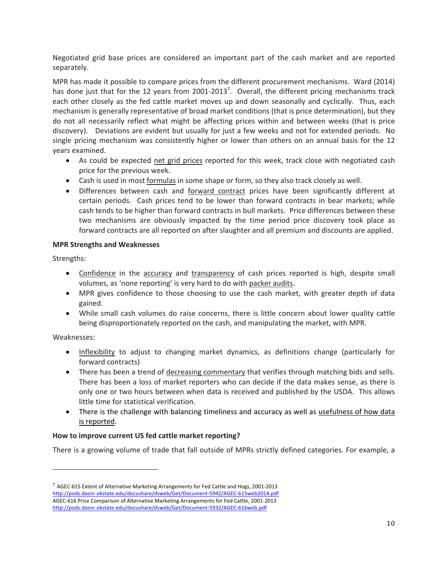Negotiated grid base prices are considered an important part of the cash market and are reported separately.

MPR has made it possible to compare prices from the different procurement mechanisms. Ward (2014) has done just that for the 12 years from 2001-2013<sup>7</sup>. Overall, the different pricing mechanisms track each other closely as the fed cattle market moves up and down seasonally and cyclically. Thus, each mechanism is generally representative of broad market conditions (that is price determination), but they do not all necessarily reflect what might be affecting prices within and between weeks (that is price discovery). Deviations are evident but usually for just a few weeks and not for extended periods. No single pricing mechanism was consistently higher or lower than others on an annual basis for the 12 years examined.

- As could be expected net grid prices reported for this week, track close with negotiated cash price for the previous week.
- Cash is used in most formulas in some shape or form, so they also track closely as well.
- Differences between cash and forward contract prices have been significantly different at certain periods. Cash prices tend to be lower than forward contracts in bear markets; while cash tends to be higher than forward contracts in bull markets. Price differences between these two mechanisms are obviously impacted by the time period price discovery took place as forward contracts are all reported on after slaughter and all premium and discounts are applied.

# **MPR Strengths and Weaknesses**

<u> 1989 - Jan Samuel Barbara, político establecido de la provincia de la provincia de la provincia de la provinci</u>

Strengths:

- Confidence in the accuracy and transparency of cash prices reported is high, despite small volumes, as 'none reporting' is very hard to do with packer audits.
- MPR gives confidence to those choosing to use the cash market, with greater depth of data gained.
- While small cash volumes do raise concerns, there is little concern about lower quality cattle being disproportionately reported on the cash, and manipulating the market, with MPR.

### Weaknesses:

- Inflexibility to adjust to changing market dynamics, as definitions change (particularly for forward contracts)
- There has been a trend of decreasing commentary that verifies through matching bids and sells. There has been a loss of market reporters who can decide if the data makes sense, as there is only one or two hours between when data is received and published by the USDA. This allows little time for statistical verification.
- There is the challenge with balancing timeliness and accuracy as well as usefulness of how data is reported.

# **How to improve current US fed cattle market reporting?**

There is a growing volume of trade that fall outside of MPRs strictly defined categories. For example, a

<sup>7</sup> AGEC‐615 Extent of Alternative Marketing Arrangements for Fed Cattle and Hogs, 2001‐2013 http://pods.dasnr.okstate.edu/docushare/dsweb/Get/Document‐5942/AGEC‐615web2014.pdf AGEC‐616 Price Comparison of Alternative Marketing Arrangements for Fed Cattle, 2001‐2013 http://pods.dasnr.okstate.edu/docushare/dsweb/Get/Document‐5932/AGEC‐616web.pdf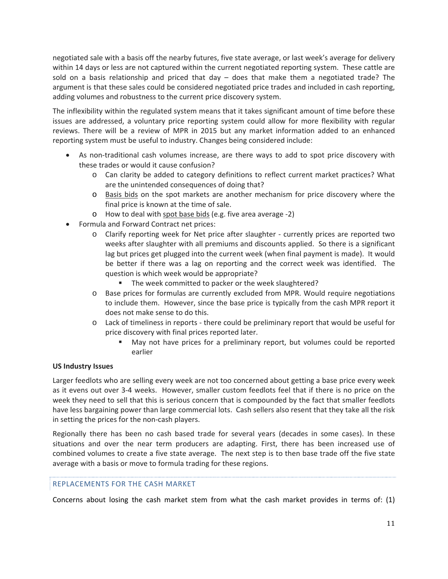negotiated sale with a basis off the nearby futures, five state average, or last week's average for delivery within 14 days or less are not captured within the current negotiated reporting system. These cattle are sold on a basis relationship and priced that day – does that make them a negotiated trade? The argument is that these sales could be considered negotiated price trades and included in cash reporting, adding volumes and robustness to the current price discovery system.

The inflexibility within the regulated system means that it takes significant amount of time before these issues are addressed, a voluntary price reporting system could allow for more flexibility with regular reviews. There will be a review of MPR in 2015 but any market information added to an enhanced reporting system must be useful to industry. Changes being considered include:

- As non‐traditional cash volumes increase, are there ways to add to spot price discovery with these trades or would it cause confusion?
	- o Can clarity be added to category definitions to reflect current market practices? What are the unintended consequences of doing that?
	- o Basis bids on the spot markets are another mechanism for price discovery where the final price is known at the time of sale.
	- o How to deal with spot base bids (e.g. five area average ‐2)
- Formula and Forward Contract net prices:
	- o Clarify reporting week for Net price after slaughter ‐ currently prices are reported two weeks after slaughter with all premiums and discounts applied. So there is a significant lag but prices get plugged into the current week (when final payment is made). It would be better if there was a lag on reporting and the correct week was identified. The question is which week would be appropriate?
		- The week committed to packer or the week slaughtered?
	- o Base prices for formulas are currently excluded from MPR. Would require negotiations to include them. However, since the base price is typically from the cash MPR report it does not make sense to do this.
	- o Lack of timeliness in reports ‐ there could be preliminary report that would be useful for price discovery with final prices reported later.
		- May not have prices for a preliminary report, but volumes could be reported earlier

### **US Industry Issues**

Larger feedlots who are selling every week are not too concerned about getting a base price every week as it evens out over 3‐4 weeks. However, smaller custom feedlots feel that if there is no price on the week they need to sell that this is serious concern that is compounded by the fact that smaller feedlots have less bargaining power than large commercial lots. Cash sellers also resent that they take all the risk in setting the prices for the non‐cash players.

Regionally there has been no cash based trade for several years (decades in some cases). In these situations and over the near term producers are adapting. First, there has been increased use of combined volumes to create a five state average. The next step is to then base trade off the five state average with a basis or move to formula trading for these regions.

### REPLACEMENTS FOR THE CASH MARKET

Concerns about losing the cash market stem from what the cash market provides in terms of: (1)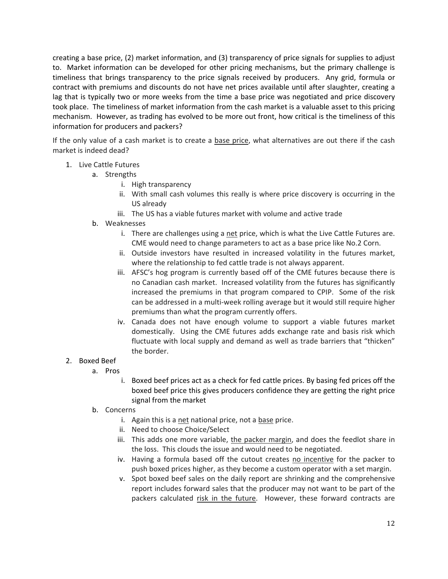creating a base price, (2) market information, and (3) transparency of price signals for supplies to adjust to. Market information can be developed for other pricing mechanisms, but the primary challenge is timeliness that brings transparency to the price signals received by producers. Any grid, formula or contract with premiums and discounts do not have net prices available until after slaughter, creating a lag that is typically two or more weeks from the time a base price was negotiated and price discovery took place. The timeliness of market information from the cash market is a valuable asset to this pricing mechanism. However, as trading has evolved to be more out front, how critical is the timeliness of this information for producers and packers?

If the only value of a cash market is to create a base price, what alternatives are out there if the cash market is indeed dead?

- 1. Live Cattle Futures
	- a. Strengths
		- i. High transparency
		- ii. With small cash volumes this really is where price discovery is occurring in the US already
		- iii. The US has a viable futures market with volume and active trade
	- b. Weaknesses
		- i. There are challenges using a net price, which is what the Live Cattle Futures are. CME would need to change parameters to act as a base price like No.2 Corn.
		- ii. Outside investors have resulted in increased volatility in the futures market, where the relationship to fed cattle trade is not always apparent.
		- iii. AFSC's hog program is currently based off of the CME futures because there is no Canadian cash market. Increased volatility from the futures has significantly increased the premiums in that program compared to CPIP. Some of the risk can be addressed in a multi‐week rolling average but it would still require higher premiums than what the program currently offers.
		- iv. Canada does not have enough volume to support a viable futures market domestically. Using the CME futures adds exchange rate and basis risk which fluctuate with local supply and demand as well as trade barriers that "thicken" the border.

### 2. Boxed Beef

- a. Pros
	- i. Boxed beef prices act as a check for fed cattle prices. By basing fed prices off the boxed beef price this gives producers confidence they are getting the right price signal from the market
- b. Concerns
	- i. Again this is a net national price, not a base price.
	- ii. Need to choose Choice/Select
	- iii. This adds one more variable, the packer margin, and does the feedlot share in the loss. This clouds the issue and would need to be negotiated.
	- iv. Having a formula based off the cutout creates no incentive for the packer to push boxed prices higher, as they become a custom operator with a set margin.
	- v. Spot boxed beef sales on the daily report are shrinking and the comprehensive report includes forward sales that the producer may not want to be part of the packers calculated risk in the future. However, these forward contracts are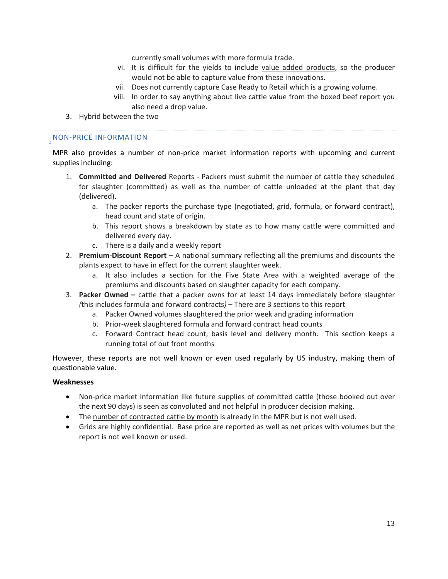currently small volumes with more formula trade.

- vi. It is difficult for the yields to include value added products, so the producer would not be able to capture value from these innovations.
- vii. Does not currently capture Case Ready to Retail which is a growing volume.
- viii. In order to say anything about live cattle value from the boxed beef report you also need a drop value.
- 3. Hybrid between the two

#### NON‐PRICE INFORMATION

MPR also provides a number of non-price market information reports with upcoming and current supplies including:

- 1. **Committed and Delivered** Reports ‐ Packers must submit the number of cattle they scheduled for slaughter (committed) as well as the number of cattle unloaded at the plant that day (delivered).
	- a. The packer reports the purchase type (negotiated, grid, formula, or forward contract), head count and state of origin.
	- b. This report shows a breakdown by state as to how many cattle were committed and delivered every day.
	- c. There is a daily and a weekly report
- 2. **Premium‐Discount Report** A national summary reflecting all the premiums and discounts the plants expect to have in effect for the current slaughter week.
	- a. It also includes a section for the Five State Area with a weighted average of the premiums and discounts based on slaughter capacity for each company.
- 3. **Packer Owned –** cattle that a packer owns for at least 14 days immediately before slaughter *(*this includes formula and forward contracts*)* – There are 3 sections to this report
	- a. Packer Owned volumes slaughtered the prior week and grading information
	- b. Prior‐week slaughtered formula and forward contract head counts
	- c. Forward Contract head count, basis level and delivery month. This section keeps a running total of out front months

However, these reports are not well known or even used regularly by US industry, making them of questionable value.

#### **Weaknesses**

- Non-price market information like future supplies of committed cattle (those booked out over the next 90 days) is seen as convoluted and not helpful in producer decision making.
- The number of contracted cattle by month is already in the MPR but is not well used.
- Grids are highly confidential. Base price are reported as well as net prices with volumes but the report is not well known or used.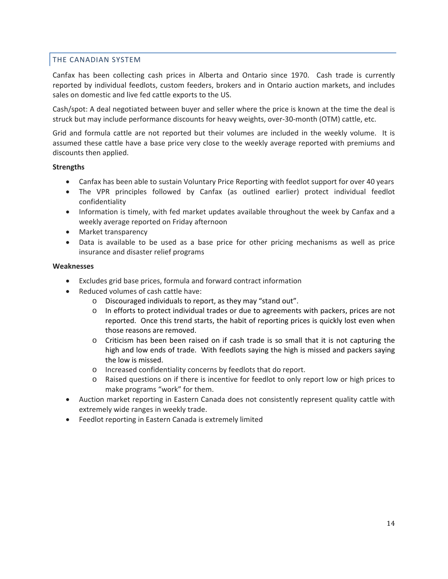# THE CANADIAN SYSTEM

Canfax has been collecting cash prices in Alberta and Ontario since 1970. Cash trade is currently reported by individual feedlots, custom feeders, brokers and in Ontario auction markets, and includes sales on domestic and live fed cattle exports to the US.

Cash/spot: A deal negotiated between buyer and seller where the price is known at the time the deal is struck but may include performance discounts for heavy weights, over‐30‐month (OTM) cattle, etc.

Grid and formula cattle are not reported but their volumes are included in the weekly volume. It is assumed these cattle have a base price very close to the weekly average reported with premiums and discounts then applied.

#### **Strengths**

- Canfax has been able to sustain Voluntary Price Reporting with feedlot support for over 40 years
- The VPR principles followed by Canfax (as outlined earlier) protect individual feedlot confidentiality
- Information is timely, with fed market updates available throughout the week by Canfax and a weekly average reported on Friday afternoon
- Market transparency
- Data is available to be used as a base price for other pricing mechanisms as well as price insurance and disaster relief programs

#### **Weaknesses**

- Excludes grid base prices, formula and forward contract information
- Reduced volumes of cash cattle have:
	- o Discouraged individuals to report, as they may "stand out".
	- o In efforts to protect individual trades or due to agreements with packers, prices are not reported. Once this trend starts, the habit of reporting prices is quickly lost even when those reasons are removed.
	- o Criticism has been been raised on if cash trade is so small that it is not capturing the high and low ends of trade. With feedlots saying the high is missed and packers saying the low is missed.
	- o Increased confidentiality concerns by feedlots that do report.
	- o Raised questions on if there is incentive for feedlot to only report low or high prices to make programs "work" for them.
- Auction market reporting in Eastern Canada does not consistently represent quality cattle with extremely wide ranges in weekly trade.
- Feedlot reporting in Eastern Canada is extremely limited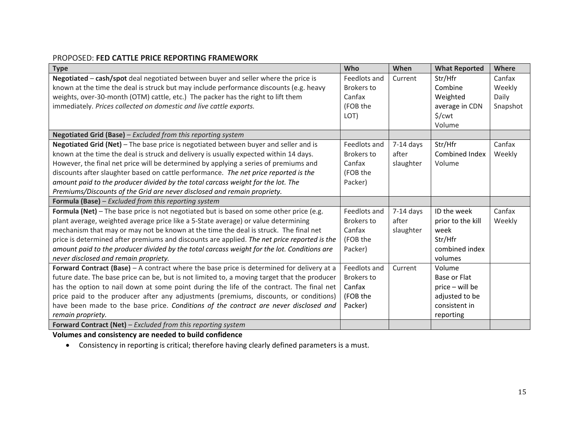# PROPOSED: **FED CATTLE PRICE REPORTING FRAMEWORK**

| <b>Type</b>                                                                                  | Who               | When        | <b>What Reported</b> | Where    |
|----------------------------------------------------------------------------------------------|-------------------|-------------|----------------------|----------|
| Negotiated - cash/spot deal negotiated between buyer and seller where the price is           | Feedlots and      | Current     | Str/Hfr              | Canfax   |
| known at the time the deal is struck but may include performance discounts (e.g. heavy       | Brokers to        |             | Combine              | Weekly   |
| weights, over-30-month (OTM) cattle, etc.) The packer has the right to lift them             | Canfax            |             | Weighted             | Daily    |
| immediately. Prices collected on domestic and live cattle exports.                           | (FOB the          |             | average in CDN       | Snapshot |
|                                                                                              | LOT)              |             | $\frac{1}{2}$ /cwt   |          |
|                                                                                              |                   |             | Volume               |          |
| Negotiated Grid (Base) - Excluded from this reporting system                                 |                   |             |                      |          |
| Negotiated Grid (Net) - The base price is negotiated between buyer and seller and is         | Feedlots and      | $7-14$ days | Str/Hfr              | Canfax   |
| known at the time the deal is struck and delivery is usually expected within 14 days.        | <b>Brokers to</b> | after       | Combined Index       | Weekly   |
| However, the final net price will be determined by applying a series of premiums and         | Canfax            | slaughter   | Volume               |          |
| discounts after slaughter based on cattle performance. The net price reported is the         | (FOB the          |             |                      |          |
| amount paid to the producer divided by the total carcass weight for the lot. The             | Packer)           |             |                      |          |
| Premiums/Discounts of the Grid are never disclosed and remain propriety.                     |                   |             |                      |          |
| Formula (Base) - Excluded from this reporting system                                         |                   |             |                      |          |
| Formula (Net) - The base price is not negotiated but is based on some other price (e.g.      | Feedlots and      | $7-14$ days | ID the week          | Canfax   |
| plant average, weighted average price like a 5-State average) or value determining           | <b>Brokers to</b> | after       | prior to the kill    | Weekly   |
| mechanism that may or may not be known at the time the deal is struck. The final net         | Canfax            | slaughter   | week                 |          |
| price is determined after premiums and discounts are applied. The net price reported is the  | (FOB the          |             | Str/Hfr              |          |
| amount paid to the producer divided by the total carcass weight for the lot. Conditions are  | Packer)           |             | combined index       |          |
| never disclosed and remain propriety.                                                        |                   |             | volumes              |          |
| Forward Contract (Base) $-$ A contract where the base price is determined for delivery at a  | Feedlots and      | Current     | Volume               |          |
| future date. The base price can be, but is not limited to, a moving target that the producer | <b>Brokers</b> to |             | Base or Flat         |          |
| has the option to nail down at some point during the life of the contract. The final net     | Canfax            |             | price - will be      |          |
| price paid to the producer after any adjustments (premiums, discounts, or conditions)        | (FOB the          |             | adjusted to be       |          |
| have been made to the base price. Conditions of the contract are never disclosed and         | Packer)           |             | consistent in        |          |
| remain propriety.                                                                            |                   |             | reporting            |          |
| Forward Contract (Net) - Excluded from this reporting system                                 |                   |             |                      |          |

**Volumes and consistency are needed to build confidence**

Consistency in reporting is critical; therefore having clearly defined parameters is <sup>a</sup> must.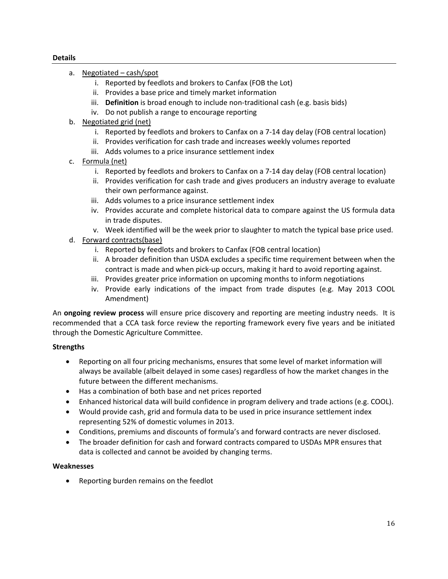### **Details**

- a. Negotiated cash/spot
	- i. Reported by feedlots and brokers to Canfax (FOB the Lot)
	- ii. Provides a base price and timely market information
	- iii. **Definition** is broad enough to include non-traditional cash (e.g. basis bids)
	- iv. Do not publish a range to encourage reporting
- b. Negotiated grid (net)
	- i. Reported by feedlots and brokers to Canfax on a 7‐14 day delay (FOB central location)
	- ii. Provides verification for cash trade and increases weekly volumes reported
	- iii. Adds volumes to a price insurance settlement index
- c. Formula (net)
	- i. Reported by feedlots and brokers to Canfax on a 7‐14 day delay (FOB central location)
	- ii. Provides verification for cash trade and gives producers an industry average to evaluate their own performance against.
	- iii. Adds volumes to a price insurance settlement index
	- iv. Provides accurate and complete historical data to compare against the US formula data in trade disputes.
	- v. Week identified will be the week prior to slaughter to match the typical base price used.
- d. Forward contracts(base)
	- i. Reported by feedlots and brokers to Canfax (FOB central location)
	- ii. A broader definition than USDA excludes a specific time requirement between when the contract is made and when pick‐up occurs, making it hard to avoid reporting against.
	- iii. Provides greater price information on upcoming months to inform negotiations
	- iv. Provide early indications of the impact from trade disputes (e.g. May 2013 COOL Amendment)

An **ongoing review process** will ensure price discovery and reporting are meeting industry needs. It is recommended that a CCA task force review the reporting framework every five years and be initiated through the Domestic Agriculture Committee.

### **Strengths**

- Reporting on all four pricing mechanisms, ensures that some level of market information will always be available (albeit delayed in some cases) regardless of how the market changes in the future between the different mechanisms.
- Has a combination of both base and net prices reported
- Enhanced historical data will build confidence in program delivery and trade actions (e.g. COOL).
- Would provide cash, grid and formula data to be used in price insurance settlement index representing 52% of domestic volumes in 2013.
- Conditions, premiums and discounts of formula's and forward contracts are never disclosed.
- The broader definition for cash and forward contracts compared to USDAs MPR ensures that data is collected and cannot be avoided by changing terms.

### **Weaknesses**

Reporting burden remains on the feedlot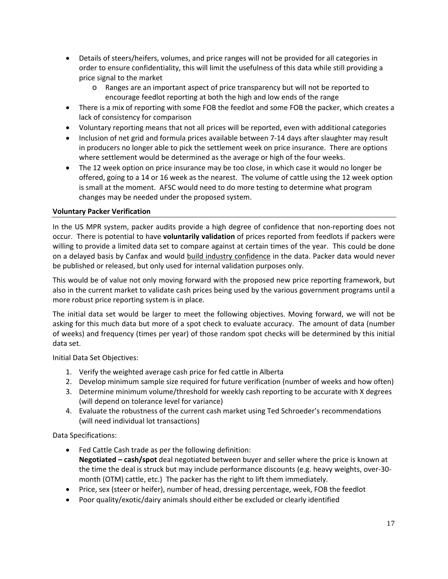- Details of steers/heifers, volumes, and price ranges will not be provided for all categories in order to ensure confidentiality, this will limit the usefulness of this data while still providing a price signal to the market
	- o Ranges are an important aspect of price transparency but will not be reported to encourage feedlot reporting at both the high and low ends of the range
- There is a mix of reporting with some FOB the feedlot and some FOB the packer, which creates a lack of consistency for comparison
- Voluntary reporting means that not all prices will be reported, even with additional categories
- Inclusion of net grid and formula prices available between 7-14 days after slaughter may result in producers no longer able to pick the settlement week on price insurance. There are options where settlement would be determined as the average or high of the four weeks.
- The 12 week option on price insurance may be too close, in which case it would no longer be offered, going to a 14 or 16 week as the nearest. The volume of cattle using the 12 week option is small at the moment. AFSC would need to do more testing to determine what program changes may be needed under the proposed system.

# **Voluntary Packer Verification**

In the US MPR system, packer audits provide a high degree of confidence that non‐reporting does not occur. There is potential to have **voluntarily validation** of prices reported from feedlots if packers were willing to provide a limited data set to compare against at certain times of the year. This could be done on a delayed basis by Canfax and would build industry confidence in the data. Packer data would never be published or released, but only used for internal validation purposes only.

This would be of value not only moving forward with the proposed new price reporting framework, but also in the current market to validate cash prices being used by the various government programs until a more robust price reporting system is in place.

The initial data set would be larger to meet the following objectives. Moving forward, we will not be asking for this much data but more of a spot check to evaluate accuracy. The amount of data (number of weeks) and frequency (times per year) of those random spot checks will be determined by this initial data set.

Initial Data Set Objectives:

- 1. Verify the weighted average cash price for fed cattle in Alberta
- 2. Develop minimum sample size required for future verification (number of weeks and how often)
- 3. Determine minimum volume/threshold for weekly cash reporting to be accurate with X degrees (will depend on tolerance level for variance)
- 4. Evaluate the robustness of the current cash market using Ted Schroeder's recommendations (will need individual lot transactions)

Data Specifications:

- Fed Cattle Cash trade as per the following definition: **Negotiated – cash/spot** deal negotiated between buyer and seller where the price is known at the time the deal is struck but may include performance discounts (e.g. heavy weights, over‐30‐ month (OTM) cattle, etc.) The packer has the right to lift them immediately.
- Price, sex (steer or heifer), number of head, dressing percentage, week, FOB the feedlot
- Poor quality/exotic/dairy animals should either be excluded or clearly identified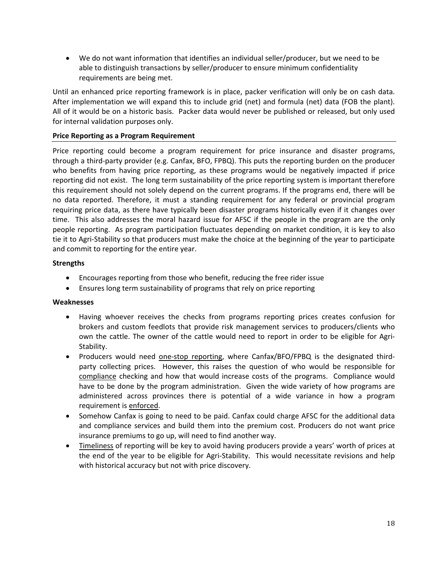We do not want information that identifies an individual seller/producer, but we need to be able to distinguish transactions by seller/producer to ensure minimum confidentiality requirements are being met.

Until an enhanced price reporting framework is in place, packer verification will only be on cash data. After implementation we will expand this to include grid (net) and formula (net) data (FOB the plant). All of it would be on a historic basis. Packer data would never be published or released, but only used for internal validation purposes only.

# **Price Reporting as a Program Requirement**

Price reporting could become a program requirement for price insurance and disaster programs, through a third‐party provider (e.g. Canfax, BFO, FPBQ). This puts the reporting burden on the producer who benefits from having price reporting, as these programs would be negatively impacted if price reporting did not exist. The long term sustainability of the price reporting system is important therefore this requirement should not solely depend on the current programs. If the programs end, there will be no data reported. Therefore, it must a standing requirement for any federal or provincial program requiring price data, as there have typically been disaster programs historically even if it changes over time. This also addresses the moral hazard issue for AFSC if the people in the program are the only people reporting. As program participation fluctuates depending on market condition, it is key to also tie it to Agri‐Stability so that producers must make the choice at the beginning of the year to participate and commit to reporting for the entire year.

### **Strengths**

- Encourages reporting from those who benefit, reducing the free rider issue
- Ensures long term sustainability of programs that rely on price reporting

### **Weaknesses**

- Having whoever receives the checks from programs reporting prices creates confusion for brokers and custom feedlots that provide risk management services to producers/clients who own the cattle. The owner of the cattle would need to report in order to be eligible for Agri-Stability.
- Producers would need one-stop reporting, where Canfax/BFO/FPBQ is the designated thirdparty collecting prices. However, this raises the question of who would be responsible for compliance checking and how that would increase costs of the programs. Compliance would have to be done by the program administration. Given the wide variety of how programs are administered across provinces there is potential of a wide variance in how a program requirement is enforced.
- Somehow Canfax is going to need to be paid. Canfax could charge AFSC for the additional data and compliance services and build them into the premium cost. Producers do not want price insurance premiums to go up, will need to find another way.
- Timeliness of reporting will be key to avoid having producers provide a years' worth of prices at the end of the year to be eligible for Agri‐Stability. This would necessitate revisions and help with historical accuracy but not with price discovery.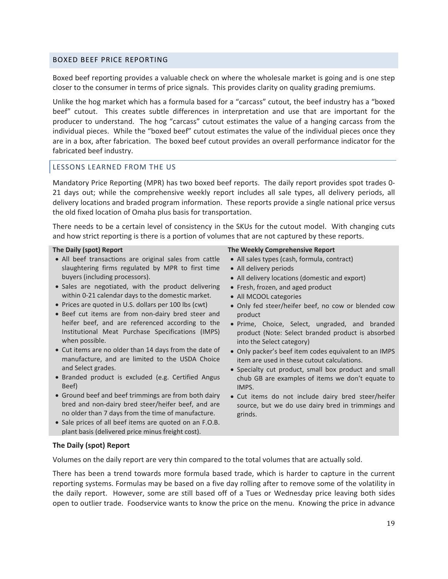#### BOXED BEEF PRICE REPORTING

Boxed beef reporting provides a valuable check on where the wholesale market is going and is one step closer to the consumer in terms of price signals. This provides clarity on quality grading premiums.

Unlike the hog market which has a formula based for a "carcass" cutout, the beef industry has a "boxed beef" cutout. This creates subtle differences in interpretation and use that are important for the producer to understand. The hog "carcass" cutout estimates the value of a hanging carcass from the individual pieces. While the "boxed beef" cutout estimates the value of the individual pieces once they are in a box, after fabrication. The boxed beef cutout provides an overall performance indicator for the fabricated beef industry.

#### LESSONS LEARNED FROM THE US

Mandatory Price Reporting (MPR) has two boxed beef reports. The daily report provides spot trades 0‐ 21 days out; while the comprehensive weekly report includes all sale types, all delivery periods, all delivery locations and braded program information. These reports provide a single national price versus the old fixed location of Omaha plus basis for transportation.

There needs to be a certain level of consistency in the SKUs for the cutout model. With changing cuts and how strict reporting is there is a portion of volumes that are not captured by these reports.

#### **The Daily (spot) Report**

- All beef transactions are original sales from cattle slaughtering firms regulated by MPR to first time buyers (including processors).
- Sales are negotiated, with the product delivering within 0‐21 calendar days to the domestic market.
- Prices are quoted in U.S. dollars per 100 lbs (cwt)
- Beef cut items are from non‐dairy bred steer and heifer beef, and are referenced according to the Institutional Meat Purchase Specifications (IMPS) when possible.
- Cut items are no older than 14 days from the date of manufacture, and are limited to the USDA Choice and Select grades.
- Branded product is excluded (e.g. Certified Angus Beef)
- Ground beef and beef trimmings are from both dairy bred and non‐dairy bred steer/heifer beef, and are no older than 7 days from the time of manufacture.
- Sale prices of all beef items are quoted on an F.O.B. plant basis (delivered price minus freight cost).

#### **The Weekly Comprehensive Report**

- All sales types (cash, formula, contract)
- All delivery periods
- All delivery locations (domestic and export)
- Fresh, frozen, and aged product
- All MCOOL categories
- Only fed steer/heifer beef, no cow or blended cow product
- Prime, Choice, Select, ungraded, and branded product (Note: Select branded product is absorbed into the Select category)
- Only packer's beef item codes equivalent to an IMPS item are used in these cutout calculations.
- Specialty cut product, small box product and small chub GB are examples of items we don't equate to IMPS.
- Cut items do not include dairy bred steer/heifer source, but we do use dairy bred in trimmings and grinds.

### **The Daily (spot) Report**

Volumes on the daily report are very thin compared to the total volumes that are actually sold.

There has been a trend towards more formula based trade, which is harder to capture in the current reporting systems. Formulas may be based on a five day rolling after to remove some of the volatility in the daily report. However, some are still based off of a Tues or Wednesday price leaving both sides open to outlier trade. Foodservice wants to know the price on the menu. Knowing the price in advance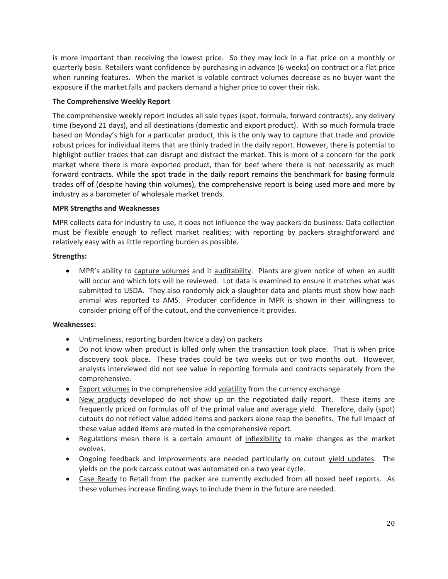is more important than receiving the lowest price. So they may lock in a flat price on a monthly or quarterly basis. Retailers want confidence by purchasing in advance (6 weeks) on contract or a flat price when running features. When the market is volatile contract volumes decrease as no buyer want the exposure if the market falls and packers demand a higher price to cover their risk.

# **The Comprehensive Weekly Report**

The comprehensive weekly report includes all sale types (spot, formula, forward contracts), any delivery time (beyond 21 days), and all destinations (domestic and export product). With so much formula trade based on Monday's high for a particular product, this is the only way to capture that trade and provide robust prices for individual items that are thinly traded in the daily report. However, there is potential to highlight outlier trades that can disrupt and distract the market. This is more of a concern for the pork market where there is more exported product, than for beef where there is not necessarily as much forward contracts. While the spot trade in the daily report remains the benchmark for basing formula trades off of (despite having thin volumes), the comprehensive report is being used more and more by industry as a barometer of wholesale market trends.

### **MPR Strengths and Weaknesses**

MPR collects data for industry to use, it does not influence the way packers do business. Data collection must be flexible enough to reflect market realities; with reporting by packers straightforward and relatively easy with as little reporting burden as possible.

# **Strengths:**

 MPR's ability to capture volumes and it auditability. Plants are given notice of when an audit will occur and which lots will be reviewed. Lot data is examined to ensure it matches what was submitted to USDA. They also randomly pick a slaughter data and plants must show how each animal was reported to AMS. Producer confidence in MPR is shown in their willingness to consider pricing off of the cutout, and the convenience it provides.

### **Weaknesses:**

- Untimeliness, reporting burden (twice a day) on packers
- Do not know when product is killed only when the transaction took place. That is when price discovery took place. These trades could be two weeks out or two months out. However, analysts interviewed did not see value in reporting formula and contracts separately from the comprehensive.
- Export volumes in the comprehensive add volatility from the currency exchange
- New products developed do not show up on the negotiated daily report. These items are frequently priced on formulas off of the primal value and average yield. Therefore, daily (spot) cutouts do not reflect value added items and packers alone reap the benefits. The full impact of these value added items are muted in the comprehensive report.
- Regulations mean there is a certain amount of inflexibility to make changes as the market evolves.
- Ongoing feedback and improvements are needed particularly on cutout yield updates. The yields on the pork carcass cutout was automated on a two year cycle.
- Case Ready to Retail from the packer are currently excluded from all boxed beef reports. As these volumes increase finding ways to include them in the future are needed.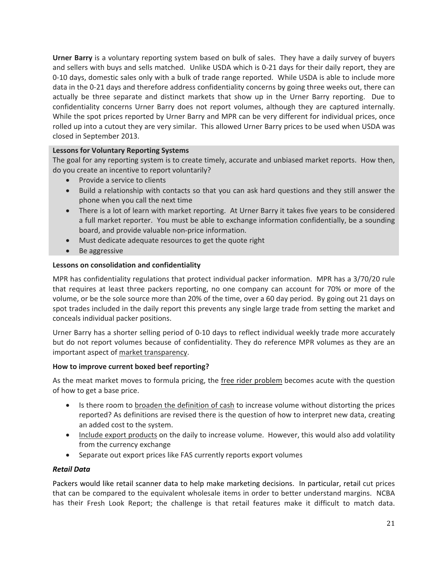**Urner Barry** is a voluntary reporting system based on bulk of sales. They have a daily survey of buyers and sellers with buys and sells matched. Unlike USDA which is 0‐21 days for their daily report, they are 0‐10 days, domestic sales only with a bulk of trade range reported. While USDA is able to include more data in the 0‐21 days and therefore address confidentiality concerns by going three weeks out, there can actually be three separate and distinct markets that show up in the Urner Barry reporting. Due to confidentiality concerns Urner Barry does not report volumes, although they are captured internally. While the spot prices reported by Urner Barry and MPR can be very different for individual prices, once rolled up into a cutout they are very similar. This allowed Urner Barry prices to be used when USDA was closed in September 2013.

# **Lessons for Voluntary Reporting Systems**

The goal for any reporting system is to create timely, accurate and unbiased market reports. How then, do you create an incentive to report voluntarily?

- Provide a service to clients
- Build a relationship with contacts so that you can ask hard questions and they still answer the phone when you call the next time
- There is a lot of learn with market reporting. At Urner Barry it takes five years to be considered a full market reporter. You must be able to exchange information confidentially, be a sounding board, and provide valuable non‐price information.
- Must dedicate adequate resources to get the quote right
- Be aggressive

#### **Lessons on consolidation and confidentiality**

MPR has confidentiality regulations that protect individual packer information. MPR has a 3/70/20 rule that requires at least three packers reporting, no one company can account for 70% or more of the volume, or be the sole source more than 20% of the time, over a 60 day period. By going out 21 days on spot trades included in the daily report this prevents any single large trade from setting the market and conceals individual packer positions.

Urner Barry has a shorter selling period of 0‐10 days to reflect individual weekly trade more accurately but do not report volumes because of confidentiality. They do reference MPR volumes as they are an important aspect of market transparency.

### **How to improve current boxed beef reporting?**

As the meat market moves to formula pricing, the free rider problem becomes acute with the question of how to get a base price.

- Is there room to broaden the definition of cash to increase volume without distorting the prices reported? As definitions are revised there is the question of how to interpret new data, creating an added cost to the system.
- Include export products on the daily to increase volume. However, this would also add volatility from the currency exchange
- Separate out export prices like FAS currently reports export volumes

### *Retail Data*

Packers would like retail scanner data to help make marketing decisions. In particular, retail cut prices that can be compared to the equivalent wholesale items in order to better understand margins. NCBA has their Fresh Look Report; the challenge is that retail features make it difficult to match data.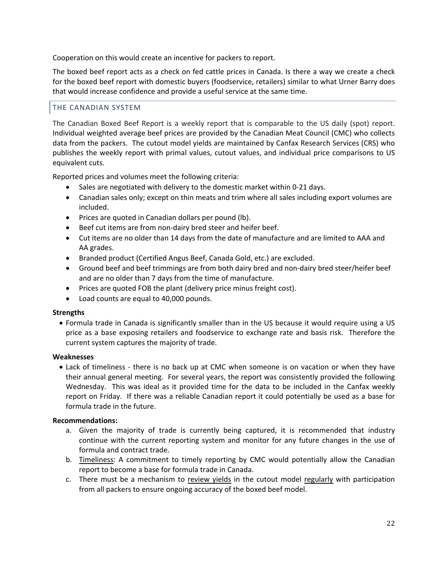Cooperation on this would create an incentive for packers to report.

The boxed beef report acts as a check on fed cattle prices in Canada. Is there a way we create a check for the boxed beef report with domestic buyers (foodservice, retailers) similar to what Urner Barry does that would increase confidence and provide a useful service at the same time.

### THE CANADIAN SYSTEM

The Canadian Boxed Beef Report is a weekly report that is comparable to the US daily (spot) report. Individual weighted average beef prices are provided by the Canadian Meat Council (CMC) who collects data from the packers. The cutout model yields are maintained by Canfax Research Services (CRS) who publishes the weekly report with primal values, cutout values, and individual price comparisons to US equivalent cuts.

Reported prices and volumes meet the following criteria:

- Sales are negotiated with delivery to the domestic market within 0‐21 days.
- Canadian sales only; except on thin meats and trim where all sales including export volumes are included.
- Prices are quoted in Canadian dollars per pound (lb).
- Beef cut items are from non-dairy bred steer and heifer beef.
- Cut items are no older than 14 days from the date of manufacture and are limited to AAA and AA grades.
- Branded product (Certified Angus Beef, Canada Gold, etc.) are excluded.
- Ground beef and beef trimmings are from both dairy bred and non-dairy bred steer/heifer beef and are no older than 7 days from the time of manufacture.
- Prices are quoted FOB the plant (delivery price minus freight cost).
- Load counts are equal to 40,000 pounds.

#### **Strengths**

 Formula trade in Canada is significantly smaller than in the US because it would require using a US price as a base exposing retailers and foodservice to exchange rate and basis risk. Therefore the current system captures the majority of trade.

#### **Weaknesses**

• Lack of timeliness - there is no back up at CMC when someone is on vacation or when they have their annual general meeting. For several years, the report was consistently provided the following Wednesday. This was ideal as it provided time for the data to be included in the Canfax weekly report on Friday. If there was a reliable Canadian report it could potentially be used as a base for formula trade in the future.

#### **Recommendations:**

- a. Given the majority of trade is currently being captured, it is recommended that industry continue with the current reporting system and monitor for any future changes in the use of formula and contract trade.
- b. Timeliness: A commitment to timely reporting by CMC would potentially allow the Canadian report to become a base for formula trade in Canada.
- c. There must be a mechanism to review yields in the cutout model regularly with participation from all packers to ensure ongoing accuracy of the boxed beef model.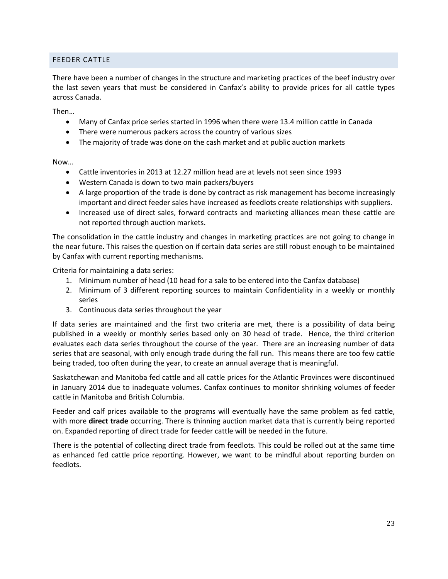# FEEDER CATTLE

There have been a number of changes in the structure and marketing practices of the beef industry over the last seven years that must be considered in Canfax's ability to provide prices for all cattle types across Canada.

Then…

- Many of Canfax price series started in 1996 when there were 13.4 million cattle in Canada
- There were numerous packers across the country of various sizes
- The majority of trade was done on the cash market and at public auction markets

Now…

- Cattle inventories in 2013 at 12.27 million head are at levels not seen since 1993
- Western Canada is down to two main packers/buyers
- A large proportion of the trade is done by contract as risk management has become increasingly important and direct feeder sales have increased as feedlots create relationships with suppliers.
- Increased use of direct sales, forward contracts and marketing alliances mean these cattle are not reported through auction markets.

The consolidation in the cattle industry and changes in marketing practices are not going to change in the near future. This raises the question on if certain data series are still robust enough to be maintained by Canfax with current reporting mechanisms.

Criteria for maintaining a data series:

- 1. Minimum number of head (10 head for a sale to be entered into the Canfax database)
- 2. Minimum of 3 different reporting sources to maintain Confidentiality in a weekly or monthly series
- 3. Continuous data series throughout the year

If data series are maintained and the first two criteria are met, there is a possibility of data being published in a weekly or monthly series based only on 30 head of trade. Hence, the third criterion evaluates each data series throughout the course of the year. There are an increasing number of data series that are seasonal, with only enough trade during the fall run. This means there are too few cattle being traded, too often during the year, to create an annual average that is meaningful.

Saskatchewan and Manitoba fed cattle and all cattle prices for the Atlantic Provinces were discontinued in January 2014 due to inadequate volumes. Canfax continues to monitor shrinking volumes of feeder cattle in Manitoba and British Columbia.

Feeder and calf prices available to the programs will eventually have the same problem as fed cattle, with more **direct trade** occurring. There is thinning auction market data that is currently being reported on. Expanded reporting of direct trade for feeder cattle will be needed in the future.

There is the potential of collecting direct trade from feedlots. This could be rolled out at the same time as enhanced fed cattle price reporting. However, we want to be mindful about reporting burden on feedlots.